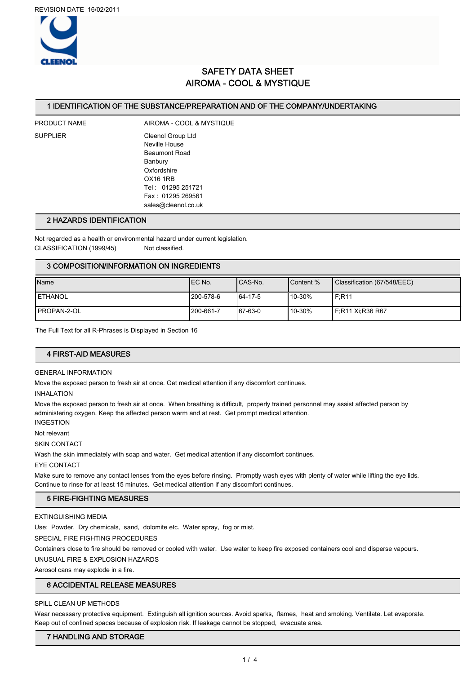

# SAFETY DATA SHEET AIROMA - COOL & MYSTIQUE

#### 1 IDENTIFICATION OF THE SUBSTANCE/PREPARATION AND OF THE COMPANY/UNDERTAKING

PRODUCT NAME AIROMA - COOL & MYSTIQUE SUPPLIER Cleenol Group Ltd Neville House Beaumont Road Banbury Oxfordshire OX16 1RB Tel : 01295 251721 Fax : 01295 269561 sales@cleenol.co.uk

#### 2 HAZARDS IDENTIFICATION

Not regarded as a health or environmental hazard under current legislation. CLASSIFICATION (1999/45) Not classified.

### 3 COMPOSITION/INFORMATION ON INGREDIENTS

| Name               | IEC No.    | ICAS-No. | <b>I</b> Content % | Classification (67/548/EEC) |
|--------------------|------------|----------|--------------------|-----------------------------|
| <b>LETHANOL</b>    | 1200-578-6 | 64-17-5  | 10-30%             | IF.R11                      |
| <b>PROPAN-2-OL</b> | 1200-661-7 | 67-63-0  | 10-30%             | I F:R11 Xi:R36 R67          |

The Full Text for all R-Phrases is Displayed in Section 16

## 4 FIRST-AID MEASURES

#### GENERAL INFORMATION

Move the exposed person to fresh air at once. Get medical attention if any discomfort continues.

INHALATION

Move the exposed person to fresh air at once. When breathing is difficult, properly trained personnel may assist affected person by administering oxygen. Keep the affected person warm and at rest. Get prompt medical attention.

INGESTION

Not relevant

SKIN CONTACT

Wash the skin immediately with soap and water. Get medical attention if any discomfort continues.

EYE CONTACT

Make sure to remove any contact lenses from the eyes before rinsing. Promptly wash eyes with plenty of water while lifting the eye lids. Continue to rinse for at least 15 minutes. Get medical attention if any discomfort continues.

#### 5 FIRE-FIGHTING MEASURES

EXTINGUISHING MEDIA

Use: Powder. Dry chemicals, sand, dolomite etc. Water spray, fog or mist.

SPECIAL FIRE FIGHTING PROCEDURES

Containers close to fire should be removed or cooled with water. Use water to keep fire exposed containers cool and disperse vapours.

UNUSUAL FIRE & EXPLOSION HAZARDS

Aerosol cans may explode in a fire.

## 6 ACCIDENTAL RELEASE MEASURES

### SPILL CLEAN UP METHODS

Wear necessary protective equipment. Extinguish all ignition sources. Avoid sparks, flames, heat and smoking. Ventilate. Let evaporate. Keep out of confined spaces because of explosion risk. If leakage cannot be stopped, evacuate area.

## 7 HANDLING AND STORAGE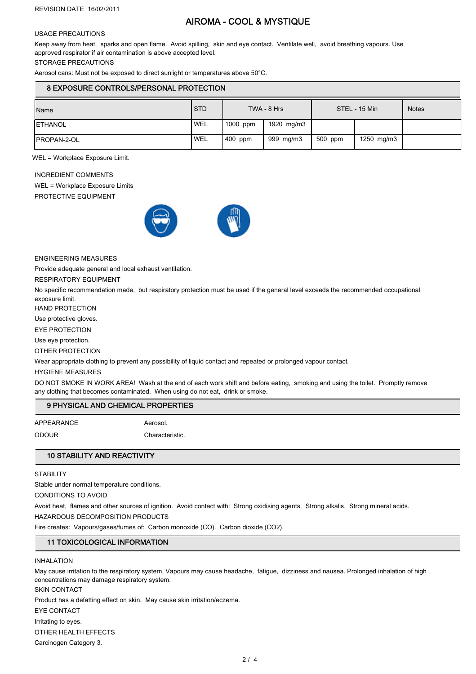# AIROMA - COOL & MYSTIQUE

#### USAGE PRECAUTIONS

Keep away from heat, sparks and open flame. Avoid spilling, skin and eye contact. Ventilate well, avoid breathing vapours. Use approved respirator if air contamination is above accepted level.

STORAGE PRECAUTIONS

Aerosol cans: Must not be exposed to direct sunlight or temperatures above 50°C.

### 8 EXPOSURE CONTROLS/PERSONAL PROTECTION

| Name                | <b>STD</b> | TWA - 8 Hrs |            | STEL - 15 Min |            | <b>Notes</b> |
|---------------------|------------|-------------|------------|---------------|------------|--------------|
| <b>IETHANOL</b>     | <b>WEL</b> | 1000 ppm    | 1920 mg/m3 |               |            |              |
| <b>IPROPAN-2-OL</b> | <b>WEL</b> | 400 ppm     | 999 mg/m3  | 500 ppm       | 1250 mg/m3 |              |

WEL = Workplace Exposure Limit.

INGREDIENT COMMENTS

WEL = Workplace Exposure Limits

PROTECTIVE EQUIPMENT



#### ENGINEERING MEASURES

Provide adequate general and local exhaust ventilation.

RESPIRATORY EQUIPMENT

No specific recommendation made, but respiratory protection must be used if the general level exceeds the recommended occupational exposure limit.

HAND PROTECTION

Use protective gloves.

EYE PROTECTION

Use eye protection.

OTHER PROTECTION

Wear appropriate clothing to prevent any possibility of liquid contact and repeated or prolonged vapour contact.

HYGIENE MEASURES

DO NOT SMOKE IN WORK AREA! Wash at the end of each work shift and before eating, smoking and using the toilet. Promptly remove any clothing that becomes contaminated. When using do not eat, drink or smoke.

## 9 PHYSICAL AND CHEMICAL PROPERTIES

APPEARANCE Aerosol.

# ODOUR Characteristic

10 STABILITY AND REACTIVITY

**STABILITY** 

Stable under normal temperature conditions.

CONDITIONS TO AVOID

Avoid heat, flames and other sources of ignition. Avoid contact with: Strong oxidising agents. Strong alkalis. Strong mineral acids.

HAZARDOUS DECOMPOSITION PRODUCTS

Fire creates: Vapours/gases/fumes of: Carbon monoxide (CO). Carbon dioxide (CO2).

## 11 TOXICOLOGICAL INFORMATION

#### INHALATION

May cause irritation to the respiratory system. Vapours may cause headache, fatigue, dizziness and nausea. Prolonged inhalation of high concentrations may damage respiratory system.

SKIN CONTACT

Product has a defatting effect on skin. May cause skin irritation/eczema.

EYE CONTACT

Irritating to eyes.

OTHER HEALTH EFFECTS

Carcinogen Category 3.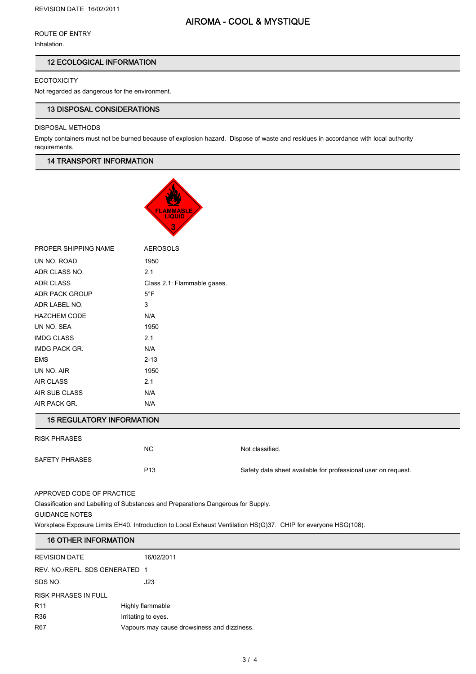# AIROMA - COOL & MYSTIQUE

ROUTE OF ENTRY

Inhalation.

## 12 ECOLOGICAL INFORMATION

**ECOTOXICITY** 

Not regarded as dangerous for the environment.

## 13 DISPOSAL CONSIDERATIONS

## DISPOSAL METHODS

Empty containers must not be burned because of explosion hazard. Dispose of waste and residues in accordance with local authority requirements.

## 14 TRANSPORT INFORMATION



| PROPER SHIPPING NAME | <b>AEROSOLS</b>             |
|----------------------|-----------------------------|
| UN NO. ROAD          | 1950                        |
| ADR CLASS NO.        | 2.1                         |
| <b>ADR CLASS</b>     | Class 2.1: Flammable gases. |
| ADR PACK GROUP       | $5^{\circ}$ F               |
| ADR LABEL NO.        | 3                           |
| <b>HAZCHEM CODE</b>  | N/A                         |
| UN NO. SEA           | 1950                        |
| <b>IMDG CLASS</b>    | 2.1                         |
| IMDG PACK GR.        | N/A                         |
| <b>EMS</b>           | $2 - 13$                    |
| UN NO. AIR           | 1950                        |
| <b>AIR CLASS</b>     | 2.1                         |
| AIR SUB CLASS        | N/A                         |
| AIR PACK GR.         | N/A                         |

## 15 REGULATORY INFORMATION

| <b>RISK PHRASES</b> |                 |                                                               |
|---------------------|-----------------|---------------------------------------------------------------|
|                     | <b>NC</b>       | Not classified.                                               |
| SAFETY PHRASES      |                 |                                                               |
|                     | P <sub>13</sub> | Safety data sheet available for professional user on request. |
|                     |                 |                                                               |

APPROVED CODE OF PRACTICE

Classification and Labelling of Substances and Preparations Dangerous for Supply.

GUIDANCE NOTES

Workplace Exposure Limits EH40. Introduction to Local Exhaust Ventilation HS(G)37. CHIP for everyone HSG(108).

## 16 OTHER INFORMATION

| <b>REVISION DATE</b>           | 16/02/2011                                  |  |
|--------------------------------|---------------------------------------------|--|
| REV. NO./REPL. SDS GENERATED 1 |                                             |  |
| SDS NO.                        | J23                                         |  |
| <b>RISK PHRASES IN FULL</b>    |                                             |  |
| R <sub>11</sub>                | Highly flammable                            |  |
| <b>R36</b>                     | Irritating to eyes.                         |  |
| <b>R67</b>                     | Vapours may cause drowsiness and dizziness. |  |